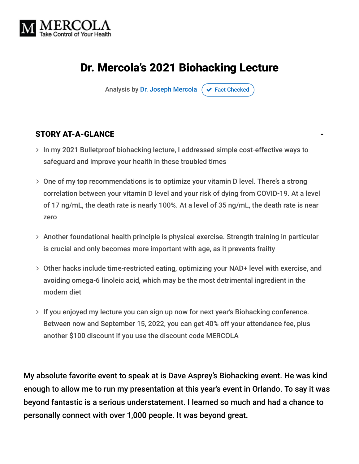

# Dr. Mercola's 2021 Biohacking Lecture

Analysis by [Dr. Joseph Mercola](https://www.mercola.com/forms/background.htm)  $\sigma$  [Fact Checked](javascript:void(0))

#### STORY AT-A-GLANCE

- > In my 2021 Bulletproof biohacking lecture, I addressed simple cost-effective ways to safeguard and improve your health in these troubled times
- One of my top recommendations is to optimize your vitamin D level. There's a strong correlation between your vitamin D level and your risk of dying from COVID-19. At a level of 17 ng/mL, the death rate is nearly 100%. At a level of 35 ng/mL, the death rate is near zero
- Another foundational health principle is physical exercise. Strength training in particular is crucial and only becomes more important with age, as it prevents frailty
- Other hacks include time-restricted eating, optimizing your NAD+ level with exercise, and avoiding omega-6 linoleic acid, which may be the most detrimental ingredient in the modern diet
- > If you enjoyed my lecture you can sign up now for next year's Biohacking conference. Between now and September 15, 2022, you can get 40% off your attendance fee, plus another \$100 discount if you use the discount code MERCOLA

My absolute favorite event to speak at is Dave Asprey's Biohacking event. He was kind enough to allow me to run my presentation at this year's event in Orlando. To say it was beyond fantastic is a serious understatement. I learned so much and had a chance to personally connect with over 1,000 people. It was beyond great.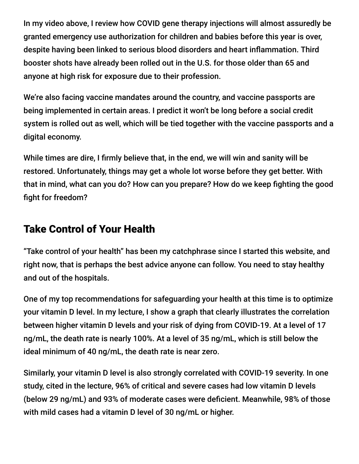In my video above, I review how COVID gene therapy injections will almost assuredly be granted emergency use authorization for children and babies before this year is over, despite having been linked to serious blood disorders and heart inflammation. Third booster shots have already been rolled out in the U.S. for those older than 65 and anyone at high risk for exposure due to their profession.

We're also facing vaccine mandates around the country, and vaccine passports are being implemented in certain areas. I predict it won't be long before a social credit system is rolled out as well, which will be tied together with the vaccine passports and a digital economy.

While times are dire, I firmly believe that, in the end, we will win and sanity will be restored. Unfortunately, things may get a whole lot worse before they get better. With that in mind, what can you do? How can you prepare? How do we keep fighting the good fight for freedom?

## Take Control of Your Health

"Take control of your health" has been my catchphrase since I started this website, and right now, that is perhaps the best advice anyone can follow. You need to stay healthy and out of the hospitals.

One of my top recommendations for safeguarding your health at this time is to optimize your vitamin D level. In my lecture, I show a graph that clearly illustrates the correlation between higher vitamin D levels and your risk of dying from COVID-19. At a level of 17 ng/mL, the death rate is nearly 100%. At a level of 35 ng/mL, which is still below the ideal minimum of 40 ng/mL, the death rate is near zero.

Similarly, your vitamin D level is also strongly correlated with COVID-19 severity. In one study, cited in the lecture, 96% of critical and severe cases had low vitamin D levels (below 29 ng/mL) and 93% of moderate cases were deficient. Meanwhile, 98% of those with mild cases had a vitamin D level of 30 ng/mL or higher.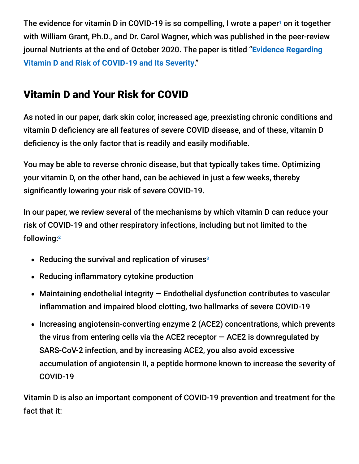The evidence for vitamin D in COVID-19 is so compelling, I wrote a paper<sup>1</sup> on it together with William Grant, Ph.D., and Dr. Carol Wagner, which was published in the peer-review [journal Nutrients at the end of October 2020. The paper is titled "](https://pubmed.ncbi.nlm.nih.gov/33142828/)**Evidence Regarding Vitamin D and Risk of COVID-19 and Its Severity**."

# Vitamin D and Your Risk for COVID

As noted in our paper, dark skin color, increased age, preexisting chronic conditions and vitamin D deficiency are all features of severe COVID disease, and of these, vitamin D deficiency is the only factor that is readily and easily modifiable.

You may be able to reverse chronic disease, but that typically takes time. Optimizing your vitamin D, on the other hand, can be achieved in just a few weeks, thereby significantly lowering your risk of severe COVID-19.

In our paper, we review several of the mechanisms by which vitamin D can reduce your risk of COVID-19 and other respiratory infections, including but not limited to the following: 2

- Reducing the survival and replication of viruses<sup>3</sup>
- Reducing inflammatory cytokine production
- Maintaining endothelial integrity Endothelial dysfunction contributes to vascular inflammation and impaired blood clotting, two hallmarks of severe COVID-19
- Increasing angiotensin-converting enzyme 2 (ACE2) concentrations, which prevents the virus from entering cells via the ACE2 receptor  $-$  ACE2 is downregulated by SARS-CoV-2 infection, and by increasing ACE2, you also avoid excessive accumulation of angiotensin II, a peptide hormone known to increase the severity of COVID-19

Vitamin D is also an important component of COVID-19 prevention and treatment for the fact that it: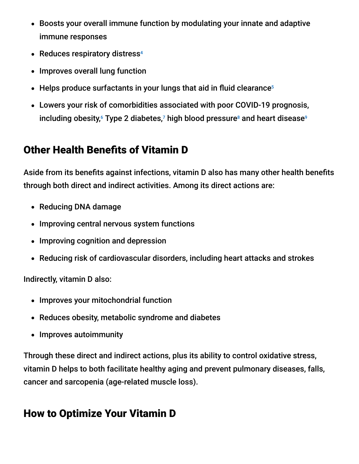- Boosts your overall immune function by modulating your innate and adaptive immune responses
- Reduces respiratory distress 4
- Improves overall lung function
- Helps produce surfactants in your lungs that aid in fluid clearance 5
- Lowers your risk of comorbidities associated with poor COVID-19 prognosis, including obesity, $^{\rm 6}$  Type 2 diabetes, $^{\rm 7}$  high blood pressure $^{\rm 8}$  and heart disease $^{\rm 9}$

## Other Health Benefits of Vitamin D

Aside from its benefits against infections, vitamin D also has many other health benefits through both direct and indirect activities. Among its direct actions are:

- Reducing DNA damage
- Improving central nervous system functions
- Improving cognition and depression
- Reducing risk of cardiovascular disorders, including heart attacks and strokes

Indirectly, vitamin D also:

- Improves your mitochondrial function
- Reduces obesity, metabolic syndrome and diabetes
- Improves autoimmunity

Through these direct and indirect actions, plus its ability to control oxidative stress, vitamin D helps to both facilitate healthy aging and prevent pulmonary diseases, falls, cancer and sarcopenia (age-related muscle loss).

## How to Optimize Your Vitamin D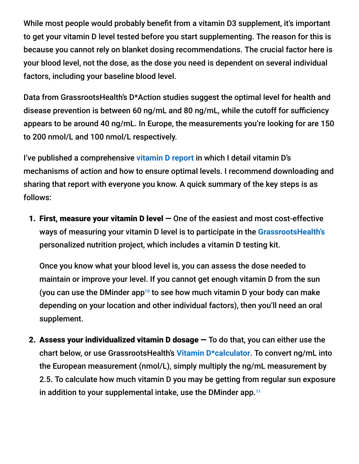While most people would probably benefit from a vitamin D3 supplement, it's important to get your vitamin D level tested before you start supplementing. The reason for this is because you cannot rely on blanket dosing recommendations. The crucial factor here is your blood level, not the dose, as the dose you need is dependent on several individual factors, including your baseline blood level.

Data from GrassrootsHealth's D\*Action studies suggest the optimal level for health and disease prevention is between 60 ng/mL and 80 ng/mL, while the cutoff for sufficiency appears to be around 40 ng/mL. In Europe, the measurements you're looking for are 150 to 200 nmol/L and 100 nmol/L respectively.

I've published a comprehensive **[vitamin D report](https://www.stopcovidcold.com/covid-research.html)** in which I detail vitamin D's mechanisms of action and how to ensure optimal levels. I recommend downloading and sharing that report with everyone you know. A quick summary of the key steps is as follows:

1. First, measure your vitamin D level — One of the easiest and most cost-effective ways of measuring your vitamin D level is to participate in the **[GrassrootsHealth's](https://www.grassrootshealth.net/)** personalized nutrition project, which includes a vitamin D testing kit.

Once you know what your blood level is, you can assess the dose needed to maintain or improve your level. If you cannot get enough vitamin D from the sun (you can use the DMinder app<sup>10</sup> to see how much vitamin D your body can make depending on your location and other individual factors), then you'll need an oral supplement.

2. Assess your individualized vitamin  $D$  dosage  $-$  To do that, you can either use the chart below, or use GrassrootsHealth's **[Vitamin D\\*calculator](https://www.grassrootshealth.net/project/dcalculator/)**. To convert ng/mL into the European measurement (nmol/L), simply multiply the ng/mL measurement by 2.5. To calculate how much vitamin D you may be getting from regular sun exposure in addition to your supplemental intake, use the DMinder app. 11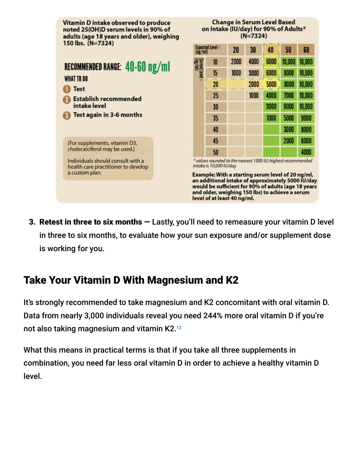

3. Retest in three to six months — Lastly, you'll need to remeasure your vitamin D level in three to six months, to evaluate how your sun exposure and/or supplement dose is working for you.

## Take Your Vitamin D With Magnesium and K2

It's strongly recommended to take magnesium and K2 concomitant with oral vitamin D. Data from nearly 3,000 individuals reveal you need 244% more oral vitamin D if you're not also taking magnesium and vitamin K2. 12

What this means in practical terms is that if you take all three supplements in combination, you need far less oral vitamin D in order to achieve a healthy vitamin D level.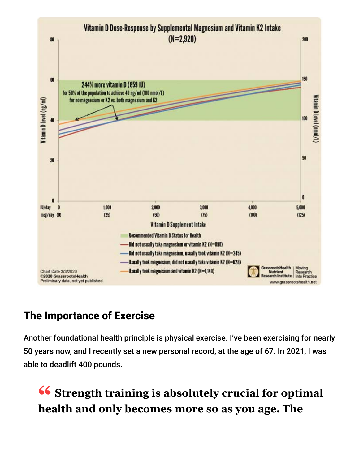

## The Importance of Exercise

Another foundational health principle is physical exercise. I've been exercising for nearly 50 years now, and I recently set a new personal record, at the age of 67. In 2021, I was able to deadlift 400 pounds.

**<sup>66</sup>** Strength training is absolutely crucial for optimal<br>health and only becomes more so as you age. The **health and only becomes more so as you age. The**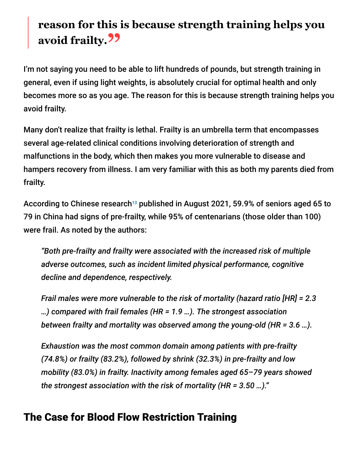# **reason for this is because strength training helps you avoid frailty."**

I'm not saying you need to be able to lift hundreds of pounds, but strength training in general, even if using light weights, is absolutely crucial for optimal health and only becomes more so as you age. The reason for this is because strength training helps you avoid frailty.

Many don't realize that frailty is lethal. Frailty is an umbrella term that encompasses several age-related clinical conditions involving deterioration of strength and malfunctions in the body, which then makes you more vulnerable to disease and hampers recovery from illness. I am very familiar with this as both my parents died from frailty.

According to Chinese research $^{13}$  published in August 2021, 59.9% of seniors aged 65 to 79 in China had signs of pre-frailty, while 95% of centenarians (those older than 100) were frail. As noted by the authors:

*"Both pre-frailty and frailty were associated with the increased risk of multiple adverse outcomes, such as incident limited physical performance, cognitive decline and dependence, respectively.*

*Frail males were more vulnerable to the risk of mortality (hazard ratio [HR] = 2.3 …) compared with frail females (HR = 1.9 …). The strongest association between frailty and mortality was observed among the young-old (HR = 3.6 …).*

*Exhaustion was the most common domain among patients with pre-frailty (74.8%) or frailty (83.2%), followed by shrink (32.3%) in pre-frailty and low mobility (83.0%) in frailty. Inactivity among females aged 65–79 years showed the strongest association with the risk of mortality (HR = 3.50 …)."*

# The Case for Blood Flow Restriction Training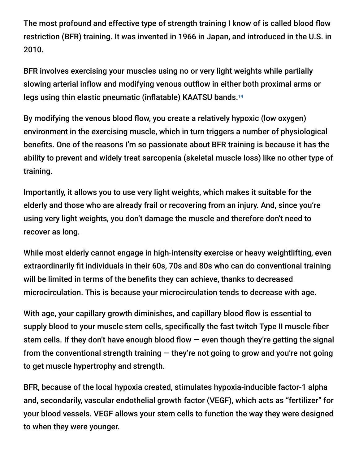The most profound and effective type of strength training I know of is called blood flow restriction (BFR) training. It was invented in 1966 in Japan, and introduced in the U.S. in 2010.

BFR involves exercising your muscles using no or very light weights while partially slowing arterial inflow and modifying venous outflow in either both proximal arms or legs using thin elastic pneumatic (inflatable) KAATSU bands. 14

By modifying the venous blood flow, you create a relatively hypoxic (low oxygen) environment in the exercising muscle, which in turn triggers a number of physiological benefits. One of the reasons I'm so passionate about BFR training is because it has the ability to prevent and widely treat sarcopenia (skeletal muscle loss) like no other type of training.

Importantly, it allows you to use very light weights, which makes it suitable for the elderly and those who are already frail or recovering from an injury. And, since you're using very light weights, you don't damage the muscle and therefore don't need to recover as long.

While most elderly cannot engage in high-intensity exercise or heavy weightlifting, even extraordinarily fit individuals in their 60s, 70s and 80s who can do conventional training will be limited in terms of the benefits they can achieve, thanks to decreased microcirculation. This is because your microcirculation tends to decrease with age.

With age, your capillary growth diminishes, and capillary blood flow is essential to supply blood to your muscle stem cells, specifically the fast twitch Type II muscle fiber stem cells. If they don't have enough blood flow — even though they're getting the signal from the conventional strength training  $-$  they're not going to grow and you're not going to get muscle hypertrophy and strength.

BFR, because of the local hypoxia created, stimulates hypoxia-inducible factor-1 alpha and, secondarily, vascular endothelial growth factor (VEGF), which acts as "fertilizer" for your blood vessels. VEGF allows your stem cells to function the way they were designed to when they were younger.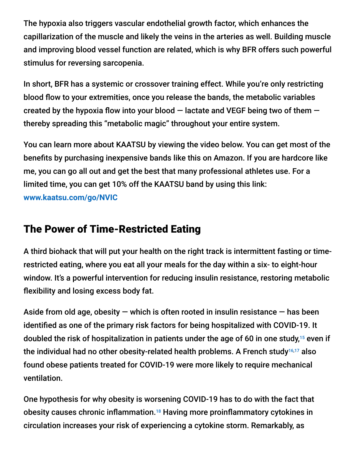The hypoxia also triggers vascular endothelial growth factor, which enhances the capillarization of the muscle and likely the veins in the arteries as well. Building muscle and improving blood vessel function are related, which is why BFR offers such powerful stimulus for reversing sarcopenia.

In short, BFR has a systemic or crossover training effect. While you're only restricting blood flow to your extremities, once you release the bands, the metabolic variables created by the hypoxia flow into your blood — lactate and VEGF being two of them thereby spreading this "metabolic magic" throughout your entire system.

You can learn more about KAATSU by viewing the video below. You can get most of the benefits by purchasing inexpensive bands like this on Amazon. If you are hardcore like me, you can go all out and get the best that many professional athletes use. For a limited time, you can get 10% off the KAATSU band by using this link: **[www.kaatsu.com/go/NVIC](https://www.kaatsu.com/go/NVIC)**

# The Power of Time-Restricted Eating

A third biohack that will put your health on the right track is intermittent fasting or timerestricted eating, where you eat all your meals for the day within a six- to eight-hour window. It's a powerful intervention for reducing insulin resistance, restoring metabolic flexibility and losing excess body fat.

Aside from old age, obesity  $-$  which is often rooted in insulin resistance  $-$  has been identified as one of the primary risk factors for being hospitalized with COVID-19. It doubled the risk of hospitalization in patients under the age of 60 in one study, $^{15}$  even if the individual had no other obesity-related health problems. A French study $^{16,17}$  also found obese patients treated for COVID-19 were more likely to require mechanical ventilation.

One hypothesis for why obesity is worsening COVID-19 has to do with the fact that obesity causes chronic inflammation.<sup>18</sup> Having more proinflammatory cytokines in circulation increases your risk of experiencing a cytokine storm. Remarkably, as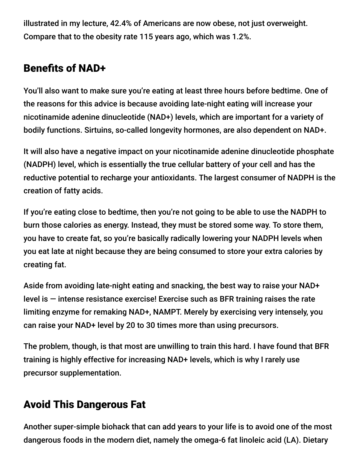illustrated in my lecture, 42.4% of Americans are now obese, not just overweight. Compare that to the obesity rate 115 years ago, which was 1.2%.

# Benefits of NAD+

You'll also want to make sure you're eating at least three hours before bedtime. One of the reasons for this advice is because avoiding late-night eating will increase your nicotinamide adenine dinucleotide (NAD+) levels, which are important for a variety of bodily functions. Sirtuins, so-called longevity hormones, are also dependent on NAD+.

It will also have a negative impact on your nicotinamide adenine dinucleotide phosphate (NADPH) level, which is essentially the true cellular battery of your cell and has the reductive potential to recharge your antioxidants. The largest consumer of NADPH is the creation of fatty acids.

If you're eating close to bedtime, then you're not going to be able to use the NADPH to burn those calories as energy. Instead, they must be stored some way. To store them, you have to create fat, so you're basically radically lowering your NADPH levels when you eat late at night because they are being consumed to store your extra calories by creating fat.

Aside from avoiding late-night eating and snacking, the best way to raise your NAD+ level is — intense resistance exercise! Exercise such as BFR training raises the rate limiting enzyme for remaking NAD+, NAMPT. Merely by exercising very intensely, you can raise your NAD+ level by 20 to 30 times more than using precursors.

The problem, though, is that most are unwilling to train this hard. I have found that BFR training is highly effective for increasing NAD+ levels, which is why I rarely use precursor supplementation.

# Avoid This Dangerous Fat

Another super-simple biohack that can add years to your life is to avoid one of the most dangerous foods in the modern diet, namely the omega-6 fat linoleic acid (LA). Dietary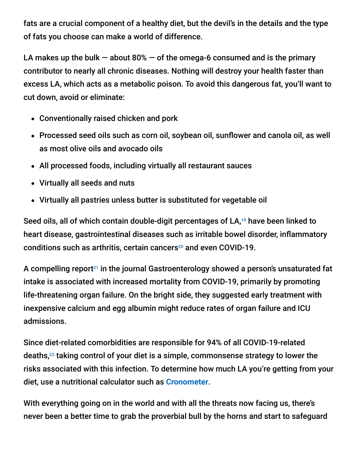fats are a crucial component of a healthy diet, but the devil's in the details and the type of fats you choose can make a world of difference.

LA makes up the bulk  $-$  about 80%  $-$  of the omega-6 consumed and is the primary contributor to nearly all chronic diseases. Nothing will destroy your health faster than excess LA, which acts as a metabolic poison. To avoid this dangerous fat, you'll want to cut down, avoid or eliminate:

- Conventionally raised chicken and pork
- Processed seed oils such as corn oil, soybean oil, sunflower and canola oil, as well as most olive oils and avocado oils
- All processed foods, including virtually all restaurant sauces
- Virtually all seeds and nuts
- Virtually all pastries unless butter is substituted for vegetable oil

Seed oils, all of which contain double-digit percentages of LA, $19$  have been linked to heart disease, gastrointestinal diseases such as irritable bowel disorder, inflammatory conditions such as arthritis, certain cancers $^{20}$  and even COVID-19.

A compelling report<sup>21</sup> in the journal Gastroenterology showed a person's unsaturated fat intake is associated with increased mortality from COVID-19, primarily by promoting life-threatening organ failure. On the bright side, they suggested early treatment with inexpensive calcium and egg albumin might reduce rates of organ failure and ICU admissions.

Since diet-related comorbidities are responsible for 94% of all COVID-19-related deaths, $^{22}$  taking control of your diet is a simple, commonsense strategy to lower the risks associated with this infection. To determine how much LA you're getting from your diet, use a nutritional calculator such as **[Cronometer](https://cronometer.com/mercola/)**.

With everything going on in the world and with all the threats now facing us, there's never been a better time to grab the proverbial bull by the horns and start to safeguard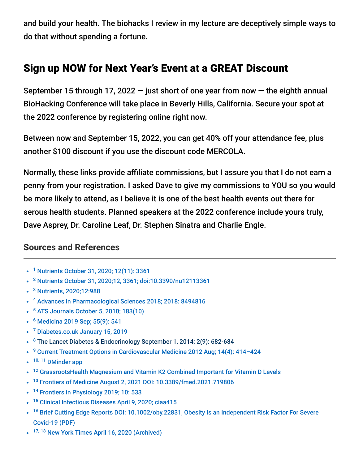and build your health. The biohacks I review in my lecture are deceptively simple ways to do that without spending a fortune.

## Sign up NOW for Next Year's Event at a GREAT Discount

September 15 through 17, 2022  $-$  just short of one year from now  $-$  the eighth annual BioHacking Conference will take place in Beverly Hills, California. Secure your spot at the 2022 conference by registering online right now.

Between now and September 15, 2022, you can get 40% off your attendance fee, plus another \$100 discount if you use the discount code MERCOLA.

Normally, these links provide affiliate commissions, but I assure you that I do not earn a penny from your registration. I asked Dave to give my commissions to YOU so you would be more likely to attend, as I believe it is one of the best health events out there for serous health students. Planned speakers at the 2022 conference include yours truly, Dave Asprey, Dr. Caroline Leaf, Dr. Stephen Sinatra and Charlie Engle.

#### **Sources and References**

- <sup>1</sup> [Nutrients October 31, 2020; 12\(11\): 3361](https://www.ncbi.nlm.nih.gov/pmc/articles/PMC7692080/)
- <sup>2</sup> [Nutrients October 31, 2020;12, 3361; doi:10.3390/nu12113361](https://www.mdpi.com/2072-6643/12/11/3361/pdf)
- <sup>3</sup> [Nutrients, 2020;12:988](https://www.grassrootshealth.net/wp-content/uploads/2020/04/Grant-GRH-Covid-paper-2020.pdf)
- <sup>4</sup> [Advances in Pharmacological Sciences 2018; 2018: 8494816](https://www.ncbi.nlm.nih.gov/pmc/articles/PMC6186338/)
- <sup>5</sup> [ATS Journals October 5, 2010; 183\(10\)](https://www.atsjournals.org/doi/full/10.1164/rccm.201010-1596OC)
- <sup>6</sup> [Medicina 2019 Sep; 55\(9\): 541](https://www.ncbi.nlm.nih.gov/pmc/articles/PMC6780345/)
- <sup>7</sup> [Diabetes.co.uk January 15, 2019](https://www.diabetes.co.uk/food/vitamin-d.html)
- <sup>8</sup> [The Lancet Diabetes & Endocrinology September 1, 2014; 2\(9\): 682-684](https://www.thelancet.com/journals/landia/article/PIIS2213-8587(14)70119-6/fulltext)
- <sup>9</sup> Current Treatment Options in Cardiovascular Medicine 2012 Aug; 14(4): 414-424
- 10, 11 [DMinder app](http://dminder.ontometrics.com/)
- <sup>12</sup> [GrassrootsHealth Magnesium and Vitamin K2 Combined Important for Vitamin D Levels](https://www.grassrootshealth.net/blog/supplemental-magnesium-vitamin-k2-combined-important-vitamin-d-levels/)
- <sup>13</sup> [Frontiers of Medicine August 2, 2021 DOI: 10.3389/fmed.2021.719806](https://www.frontiersin.org/articles/10.3389/fmed.2021.719806/full)
- <sup>14</sup> [Frontiers in Physiology 2019; 10: 533](https://www.ncbi.nlm.nih.gov/pmc/articles/PMC6530612/)
- <sup>15</sup> [Clinical Infectious Diseases April 9, 2020; ciaa415](https://academic.oup.com/cid/advance-article/doi/10.1093/cid/ciaa415/5818333)
- <sup>16</sup> [Brief Cutting Edge Reports DOI: 10.1002/oby.22831, Obesity Is an Independent Risk Factor For Severe](https://onlinelibrary.wiley.com/doi/epdf/10.1002/oby.22831) Covid-19 (PDF)
- 17, 18 [New York Times April 16, 2020 \(Archived\)](http://archive.is/rUYmq)